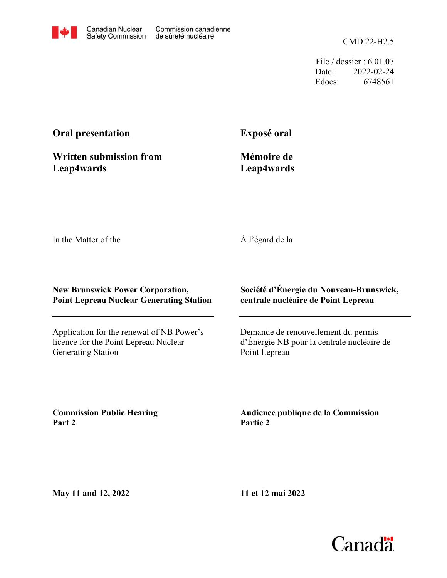CMD 22-H2.5

File / dossier : 6.01.07 Date: 2022-02-24 Edocs: 6748561

## **Oral presentation**

**Exposé oral**

**Written submission from Leap4wards**

**Mémoire de Leap4wards**

In the Matter of the

À l'égard de la

## **New Brunswick Power Corporation, Point Lepreau Nuclear Generating Station**

Application for the renewal of NB Power's licence for the Point Lepreau Nuclear Generating Station

**Société d'Énergie du Nouveau-Brunswick, centrale nucléaire de Point Lepreau**

Demande de renouvellement du permis d'Énergie NB pour la centrale nucléaire de Point Lepreau

**Commission Public Hearing Part 2**

**Audience publique de la Commission Partie 2**

**May 11 and 12, 2022**

**11 et 12 mai 2022**

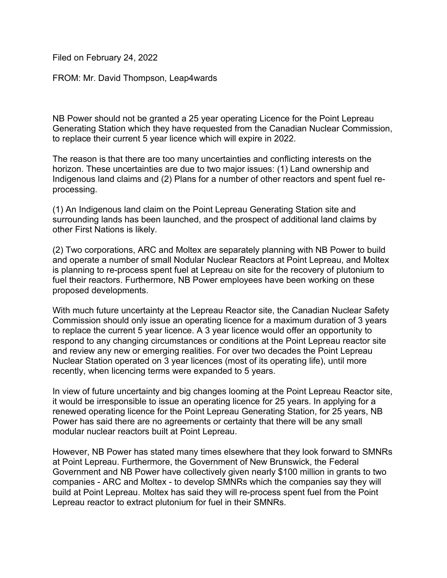Filed on February 24, 2022

FROM: Mr. David Thompson, Leap4wards

NB Power should not be granted a 25 year operating Licence for the Point Lepreau Generating Station which they have requested from the Canadian Nuclear Commission, to replace their current 5 year licence which will expire in 2022.

The reason is that there are too many uncertainties and conflicting interests on the horizon. These uncertainties are due to two major issues: (1) Land ownership and Indigenous land claims and (2) Plans for a number of other reactors and spent fuel reprocessing.

(1) An Indigenous land claim on the Point Lepreau Generating Station site and surrounding lands has been launched, and the prospect of additional land claims by other First Nations is likely.

(2) Two corporations, ARC and Moltex are separately planning with NB Power to build and operate a number of small Nodular Nuclear Reactors at Point Lepreau, and Moltex is planning to re-process spent fuel at Lepreau on site for the recovery of plutonium to fuel their reactors. Furthermore, NB Power employees have been working on these proposed developments.

With much future uncertainty at the Lepreau Reactor site, the Canadian Nuclear Safety Commission should only issue an operating licence for a maximum duration of 3 years to replace the current 5 year licence. A 3 year licence would offer an opportunity to respond to any changing circumstances or conditions at the Point Lepreau reactor site and review any new or emerging realities. For over two decades the Point Lepreau Nuclear Station operated on 3 year licences (most of its operating life), until more recently, when licencing terms were expanded to 5 years.

In view of future uncertainty and big changes looming at the Point Lepreau Reactor site, it would be irresponsible to issue an operating licence for 25 years. In applying for a renewed operating licence for the Point Lepreau Generating Station, for 25 years, NB Power has said there are no agreements or certainty that there will be any small modular nuclear reactors built at Point Lepreau.

However, NB Power has stated many times elsewhere that they look forward to SMNRs at Point Lepreau. Furthermore, the Government of New Brunswick, the Federal Government and NB Power have collectively given nearly \$100 million in grants to two companies - ARC and Moltex - to develop SMNRs which the companies say they will build at Point Lepreau. Moltex has said they will re-process spent fuel from the Point Lepreau reactor to extract plutonium for fuel in their SMNRs.